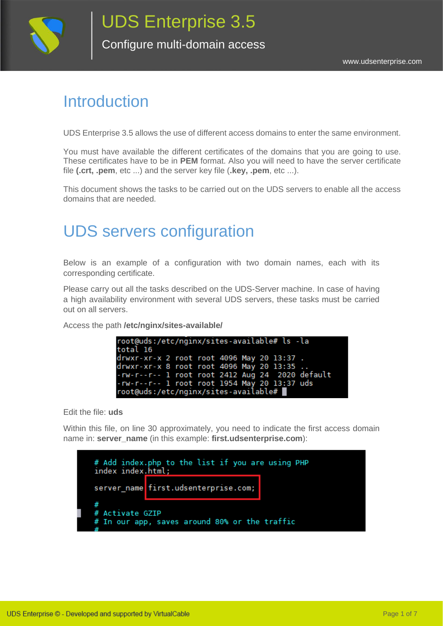

Configure multi-domain access

#### **Introduction**

UDS Enterprise 3.5 allows the use of different access domains to enter the same environment.

You must have available the different certificates of the domains that you are going to use. These certificates have to be in **PEM** format. Also you will need to have the server certificate file **(.crt, .pem**, etc ...) and the server key file (**.key, .pem**, etc ...).

This document shows the tasks to be carried out on the UDS servers to enable all the access domains that are needed.

### UDS servers configuration

Below is an example of a configuration with two domain names, each with its corresponding certificate.

Please carry out all the tasks described on the UDS-Server machine. In case of having a high availability environment with several UDS servers, these tasks must be carried out on all servers.

Access the path **/etc/nginx/sites-available/**

| root@uds:/etc/nginx/sites-available# ls -la        |  |  |
|----------------------------------------------------|--|--|
| total 16                                           |  |  |
| drwxr-xr-x 2 root root 4096 May 20 13:37.          |  |  |
| drwxr-xr-x 8 root root 4096 May 20 13:35           |  |  |
| $-rw-r--r--1$ root root $2412$ Aug 24 2020 default |  |  |
| -rw-r--r-- 1 root root 1954 May 20 13:37 uds       |  |  |
| root@uds:/etc/nginx/sites-available#               |  |  |

Edit the file: **uds**

Within this file, on line 30 approximately, you need to indicate the first access domain name in: **server\_name** (in this example: **first.udsenterprise.com**):

| index index.html; | # Add index.php to the list if you are using PHP |
|-------------------|--------------------------------------------------|
|                   | server name first.udsenterprise.com;             |
| # Activate GZIP   | # In our app, saves around 80% or the traffic    |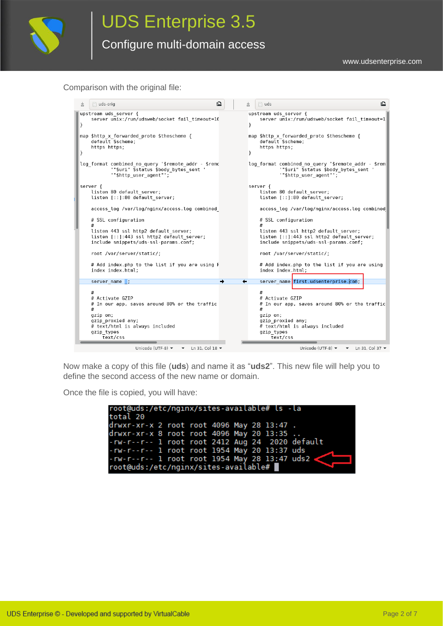

Comparison with the original file:

|               | $\equiv$ uds-orig                                                                                                                                                       | ≏ | $\equiv$ uds                                                                                                                                                            |
|---------------|-------------------------------------------------------------------------------------------------------------------------------------------------------------------------|---|-------------------------------------------------------------------------------------------------------------------------------------------------------------------------|
| $\mathcal{F}$ | upstream uds server {<br>server unix:/run/udsweb/socket fail timeout=10                                                                                                 |   | upstream uds server {<br>server unix:/run/udsweb/socket fail timeout=1<br>ł                                                                                             |
| ł             | map \$http x_forwarded_proto \$thescheme {<br>default \$scheme;<br>https https;                                                                                         |   | map \$http x_forwarded_proto \$thescheme {<br>default \$scheme;<br>https https;<br>ł                                                                                    |
|               | log format combined_no_query '\$remote_addr - \$remc<br>"\$uri" \$status \$body bytes sent '<br>"\$http user agent"';                                                   |   | log format combined no query '\$remote addr - \$rem <br>"\$uri" \$status \$body bytes sent '<br>"\$http user agent"';                                                   |
|               | server {<br>listen 80 default server;<br>listen [::]:80 default server;                                                                                                 |   | server {<br>listen 80 default server;<br>listen [::]:80 default server;                                                                                                 |
|               | access log /var/log/nginx/access.log combined                                                                                                                           |   | access log /var/log/nginx/access.log combined                                                                                                                           |
|               | # SSL configuration                                                                                                                                                     |   | # SSL configuration                                                                                                                                                     |
|               | listen 443 ssl http2 default server;<br>listen [::]:443 ssl http2 default server;<br>include snippets/uds-ssl-params.conf;                                              |   | listen 443 ssl http2 default server;<br>listen [::]:443 ssl http2 default server;<br>include snippets/uds-ssl-params.conf;                                              |
|               | root /var/server/static/;                                                                                                                                               |   | root /var/server/static/;                                                                                                                                               |
|               | # Add index.php to the list if you are using F<br>index index.html;                                                                                                     |   | # Add index.php to the list if you are using<br>index index.html;                                                                                                       |
|               | server name ;                                                                                                                                                           |   | server name first.udsenterprise.com;                                                                                                                                    |
|               | #<br># Activate GZIP<br># In our app, saves around 80% or the traffic<br>#<br>gzip on;<br>gzip proxied any;<br># text/html is always included<br>gzip types<br>text/css |   | #<br># Activate GZIP<br># In our app, saves around 80% or the traffic<br>#<br>gzip on;<br>gzip proxied any;<br># text/html is always included<br>gzip types<br>text/css |
|               | Unicode (UTF-8) $\blacktriangledown$<br>Ln 31, Col 18 $\blacktriangledown$<br>$\overline{\phantom{a}}$                                                                  |   | Unicode (UTF-8) $\blacktriangledown$ $\blacktriangledown$ Ln 31, Col 37 $\blacktriangledown$                                                                            |

Now make a copy of this file (**uds**) and name it as "**uds2**". This new file will help you to define the second access of the new name or domain.

Once the file is copied, you will have:

| root@uds:/etc/nginx/sites-available# ls -la     |  |  |  |  |
|-------------------------------------------------|--|--|--|--|
| total 20                                        |  |  |  |  |
| drwxr-xr-x 2 root root 4096 May 28 13:47.       |  |  |  |  |
| drwxr-xr-x 8 root root 4096 May 20 13:35        |  |  |  |  |
| -rw-r--r-- 1 root root 2412 Aug 24 2020 default |  |  |  |  |
| -rw-r--r-- 1 root root 1954 May 20 13:37 uds    |  |  |  |  |
| -rw-r--r-- 1 root root 1954 May 28 13:47 uds2   |  |  |  |  |
| root@uds:/etc/nginx/sites-available#            |  |  |  |  |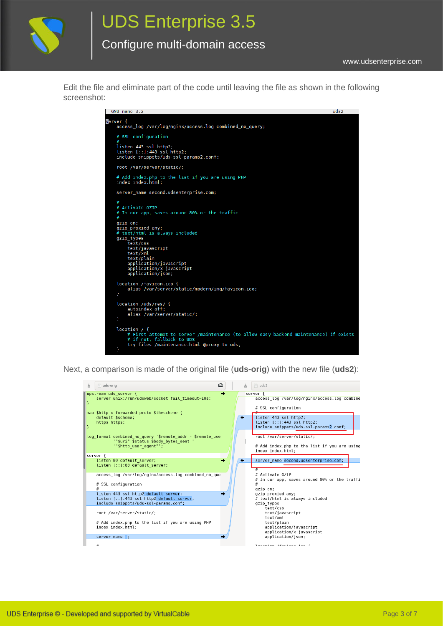

# UDS Enterprise 3.5

#### Configure multi-domain access

Edit the file and eliminate part of the code until leaving the file as shown in the following screenshot:

| GNU nano 3.2                                                                                                                                                                                                                                                                                                               | uds2 |
|----------------------------------------------------------------------------------------------------------------------------------------------------------------------------------------------------------------------------------------------------------------------------------------------------------------------------|------|
| server {<br>access log /var/log/nginx/access.log combined no query;                                                                                                                                                                                                                                                        |      |
| # SSL configuration<br>#                                                                                                                                                                                                                                                                                                   |      |
| listen 443 ssl http2;<br>$listen$ $[::]:443$ ssl http2;<br>include snippets/uds-ssl-params2.conf;                                                                                                                                                                                                                          |      |
| root /var/server/static/;                                                                                                                                                                                                                                                                                                  |      |
| # Add index.php to the list if you are using PHP<br>index index.html;                                                                                                                                                                                                                                                      |      |
| server name second.udsenterprise.com;                                                                                                                                                                                                                                                                                      |      |
| #<br># Activate GZIP<br># In our app, saves around 80% or the traffic<br>#<br>gzip on;<br>gzip_proxied any;<br># text/html is always included<br>gzip types<br>text/css<br>text/javascript<br>text/xml<br>text/plain<br>application/javascript<br>application/x-javascript<br>application/json;<br>location /favicon.ico { |      |
| alias /var/server/static/modern/img/favicon.ico;<br>ł                                                                                                                                                                                                                                                                      |      |
| location /uds/res/ {<br>autoindex off;<br>alias /var/server/static/;<br>ł                                                                                                                                                                                                                                                  |      |
| location $/$ {<br># First attempt to server /maintenance (to allow easy backend maintenance) if exists<br># if not, fallback to UDS<br>try_files /maintenance.html @proxy_to_uds;<br>ł                                                                                                                                     |      |

Next, a comparison is made of the original file (**uds-orig**) with the new file (**uds2**):

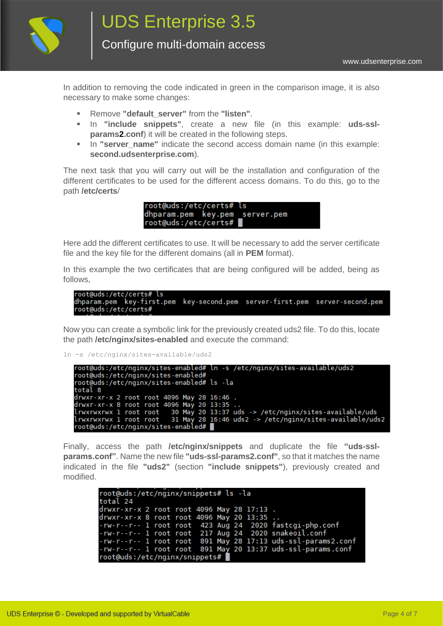

Configure multi-domain access

In addition to removing the code indicated in green in the comparison image, it is also necessary to make some changes:

- Remove **"default\_server"** from the **"listen"**.
- In **"include snippets"**, create a new file (in this example: **uds-sslparams2.conf**) it will be created in the following steps.
- **.** In "server name" indicate the second access domain name (in this example: **second.udsenterprise.com**).

The next task that you will carry out will be the installation and configuration of the different certificates to be used for the different access domains. To do this, go to the path **/etc/certs**/

> root@uds:/etc/certs# dhparam.pem key.pem server.pem root@uds:/etc/certs#

Here add the different certificates to use. It will be necessary to add the server certificate file and the key file for the different domains (all in **PEM** format).

In this example the two certificates that are being configured will be added, being as follows,

```
root@uds:/etc/certs# ls
dhparam.pem key-first.pem key-second.pem server-first.pem server-second.pem
root@uds:/etc/certs#
```
Now you can create a symbolic link for the previously created uds2 file. To do this, locate the path **/etc/nginx/sites-enabled** and execute the command:

ln -s /etc/nginx/sites-available/uds2

```
root@uds:/etc/nginx/sites-enabled# ln -s /etc/nginx/sites-available/uds2<br>root@uds:/etc/nginx/sites-enabled#
root@uds:/etc/nginx/sites-enabled# ls -la
total 8
total 8<br>drwxr-xr-x 2 root root 4096 May 28 16:46 .<br>drwxr-xr-x 8 root root 4096 May 20 13:35 ..<br>lrwxrwxrwx 1 root root - 30 May 20 13:37 uds -> /etc/nginx/sites-available/uds<br>lrwxrwxrwx 1 root root - 31 May 28 16:46 uds2 ->
Irwxrwxrwx 1 root root 31 May 28 16:46 uds2 -> /etc/nginx/sites-available/uds2<br>root@uds:/etc/nginx/sites-enabled#
```
Finally, access the path **/etc/nginx/snippets** and duplicate the file **"uds-sslparams.conf"**. Name the new file **"uds-ssl-params2.conf"**, so that it matches the name indicated in the file **"uds2"** (section **"include snippets"**), previously created and modified.

```
root@uds:/etc/nginx/snippets# ls -la
total 24
drwxr-xr-x 2 root root 4096 May 28 17:13<br>drwxr-xr-x 8 root root 4096 May 20 13:35<br>-rw-r--r-- 1 root root 423 Aug 24 2020 f
                                             2020 fastcgi-php.conf
-rw-r--r-- 1 root root
                              217 Aug 24 2020 snakeoil.conf
-rw-r--r-- 1 root root 891 May 28 17:13 uds-ssl-params2.conf
-rw-r--r-- 1 root root 891 May 20 13:37 uds-ssl-params.conf
root@uds:/etc/nginx/snippets#
```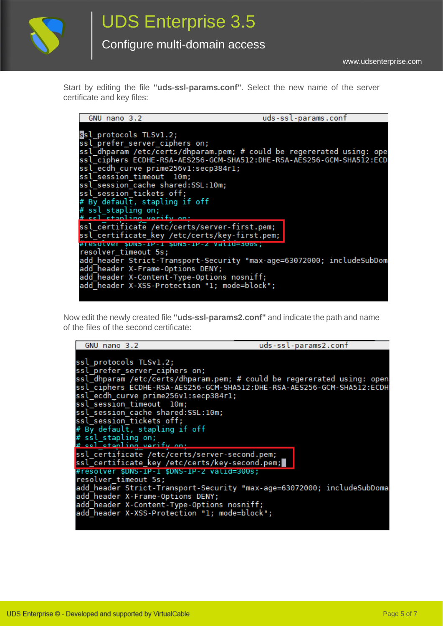

Start by editing the file **"uds-ssl-params.conf"**. Select the new name of the server certificate and key files:

| GNU nano 3.2                                                                                                                                                                                                                                                                                                                        | uds-ssl-params.conf                                                                                                                            |
|-------------------------------------------------------------------------------------------------------------------------------------------------------------------------------------------------------------------------------------------------------------------------------------------------------------------------------------|------------------------------------------------------------------------------------------------------------------------------------------------|
| ssl protocols TLSv1.2;<br>ssl prefer server ciphers on;<br>ssl ecdh curve prime256vl:secp384rl;<br>ssl session timeout 10m;<br>ssl session cache shared: SSL:10m;<br>ssl session tickets off;<br># By default, stapling if off<br># ssl_stapling on;                                                                                | ssl dhparam /etc/certs/dhparam.pem; # could be regererated using: ope<br>ssl ciphers ECDHE-RSA-AES256-GCM-SHA512:DHE-RSA-AES256-GCM-SHA512:ECD |
| # cel etanling varify on:<br>ssl_certificate /etc/certs/server-first.pem;<br>ssl certificate_key /etc/certs/key-first.pem;<br>#resotver \$DNS-IP-1 \$DNS-IP-2 vatio=300s;<br>resolver timeout 5s;<br>add header X-Frame-Options DENY;<br>add header X-Content-Type-Options nosniff;<br>add header X-XSS-Protection "1; mode=block"; | add header Strict-Transport-Security "max-age=63072000; includeSubDom                                                                          |

Now edit the newly created file **"uds-ssl-params2.conf"** and indicate the path and name of the files of the second certificate:

| GNU nano 3.2                                                                                                                                                                                                                                        | uds-ssl-params2.conf |
|-----------------------------------------------------------------------------------------------------------------------------------------------------------------------------------------------------------------------------------------------------|----------------------|
| ssl protocols TLSv1.2;<br>ssl prefer server ciphers on;<br>ssl dhparam /etc/certs/dhparam.pem; # could be regererated using: open<br>ssl ciphers ECDHE-RSA-AES256-GCM-SHA512:DHE-RSA-AES256-GCM-SHA512:ECDH<br>ssl ecdh curve prime256vl:secp384rl; |                      |
| ssl session timeout 10m;<br>ssl session cache shared: SSL:10m;<br>ssl session tickets off;<br># By default, stapling if off<br># ssl_stapling on;<br># ssl_stapling verify on:                                                                      |                      |
| ssl certificate /etc/certs/server-second.pem;<br>ssl_certificate_key /etc/certs/key-second.pem;<br>#resolver \$DNS-IP-1 \$DNS-IP-2 valid=300s;                                                                                                      |                      |
| resolver timeout 5s;<br>add header Strict-Transport-Security "max-age=63072000; includeSubDoma<br>add_header X-Frame-Options DENY;<br>add header X-Content-Type-Options nosniff;<br>add header X-XSS-Protection "1; mode=block";                    |                      |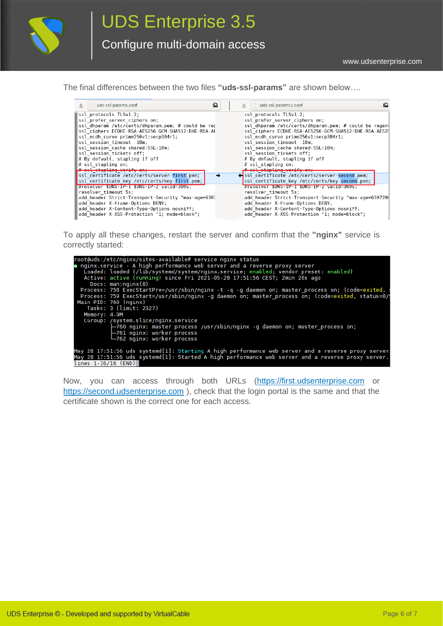

The final differences between the two files **"uds-ssl-params"** are shown below….

| 出 | ட்<br>ds-ssl-params.conf                           | uds-ssl-params2.conf<br>齿                            |  |
|---|----------------------------------------------------|------------------------------------------------------|--|
|   | ssl protocols TLSv1.2;                             | ssl protocols TLSv1.2;                               |  |
|   | ssl prefer server ciphers on;                      | ssl prefer server ciphers on;                        |  |
|   | ssl dhparam /etc/certs/dhparam.pem; # could be reg | ssl dhparam /etc/certs/dhparam.pem; # could be reger |  |
|   | ssl ciphers ECDHE-RSA-AES256-GCM-SHA512:DHE-RSA-AL | ssl ciphers ECDHE-RSA-AES256-GCM-SHA512:DHE-RSA-AES2 |  |
|   | ssl ecdh curve prime256v1:secp384r1;               | ssl ecdh curve prime256v1:secp384r1;                 |  |
|   | ssl session timeout 10m;                           | ssl session timeout 10m;                             |  |
|   | ssl session cache shared:SSL:10m;                  | ssl session cache shared:SSL:10m;                    |  |
|   | ssl session tickets off;                           | ssl session tickets off;                             |  |
|   | # By default, stapling if off                      | # By default, stapling if off                        |  |
|   | $#$ ssl stapling on;                               | # ssl stapling on:                                   |  |
|   | # ccl ctapling verify on;                          | # ssl stapling verify on;                            |  |
|   | ssl certificate /etc/certs/server-first.pem;       | ←ssl certificate /etc/certs/server-second.pem;       |  |
|   | ssl certificate key /etc/certs/key-first.pem;      | ssl certificate key /etc/certs/key-second.pem;       |  |
|   | #resolver \$DNS-IP-1 \$DNS-IP-2 valid=300s;        | #resolver \$DNS-IP-1 \$DNS-IP-2 valid=300s;          |  |
|   | resolver timeout 5s;                               | resolver timeout 5s;                                 |  |
|   | add header Strict-Transport-Security "max-age=630. | add header Strict-Transport-Security "max-age=630720 |  |
|   | add header X-Frame-Options DENY;                   | add header X-Frame-Options DENY;                     |  |
|   | add header X-Content-Type-Options nosniff;         | add header X-Content-Type-Options nosniff;           |  |
|   | add header X-XSS-Protection "1; mode=block";       | add header X-XSS-Protection "1; mode=block";         |  |

To apply all these changes, restart the server and confirm that the **"nginx"** service is correctly started:

| root@uds:/etc/nginx/sites-available# service nginx status                                          |
|----------------------------------------------------------------------------------------------------|
|                                                                                                    |
| • nginx.service - A high performance web server and a reverse proxy server                         |
| Loaded: loaded (/lib/systemd/system/nginx.service; enabled; vendor preset: enabled)                |
| Active: active (running) since Fri 2021-05-28 17:51:56 CEST; 2min 28s ago                          |
| Docs: man:nqinx(8)                                                                                 |
| Process: 758 ExecStartPre=/usr/sbin/nginx -t -q -q daemon on; master process on; (code=exited, s   |
| Process: 759 ExecStart=/usr/sbin/nginx -g daemon on; master_process on; (code=exited, status=0/9   |
| Main PID: 760 (nginx)                                                                              |
| Tasks: 3 (limit: 2327)                                                                             |
| Memory: 4.9M                                                                                       |
| CGroup: /system.slice/nginx.service                                                                |
| -760 nginx: master process /usr/sbin/nginx -q daemon on; master process on;                        |
| ├─761 nginx: worker process                                                                        |
| $-762$ nginx: worker process                                                                       |
|                                                                                                    |
| May 28 17:51:56 uds systemd[1]: Starting A high performance web server and a reverse proxy server. |
| May 28 17:51:56 uds systemd[1]: Started A high performance web server and a reverse proxy server.  |
| lines 1-16/16 (END)                                                                                |

Now, you can access through both URLs [\(https://first.udsenterprise.com](https://first.udsenterprise.com/) or [https://second.udsenterprise.com](https://second.udsenterprise.com/) ), check that the login portal is the same and that the certificate shown is the correct one for each access.